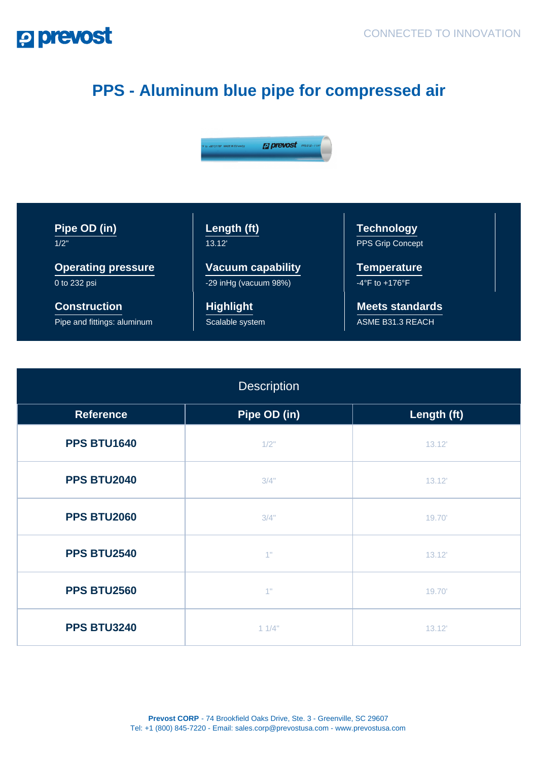## **P prevost**

## **PPS - Aluminum blue pipe for compressed air**



**Pipe OD (in)**  $1/2$ 

**Operating pressure** 0 to 232 psi

**Construction** Pipe and fittings: aluminum **Length (ft)** 13.12'

**Vacuum capability** -29 inHg (vacuum 98%)

**Highlight** Scalable system **Technology** PPS Grip Concept

**Temperature**  $-4^\circ$ F to  $+176^\circ$ F

**Meets standards** ASME B31.3 REACH

| <b>Description</b> |              |             |
|--------------------|--------------|-------------|
| <b>Reference</b>   | Pipe OD (in) | Length (ft) |
| <b>PPS BTU1640</b> | 1/2"         | 13.12'      |
| <b>PPS BTU2040</b> | 3/4"         | 13.12'      |
| <b>PPS BTU2060</b> | 3/4"         | 19.70'      |
| <b>PPS BTU2540</b> | 4"           | 13.12'      |
| <b>PPS BTU2560</b> | 4"           | 19.70'      |
| <b>PPS BTU3240</b> | 11/4"        | 13.12'      |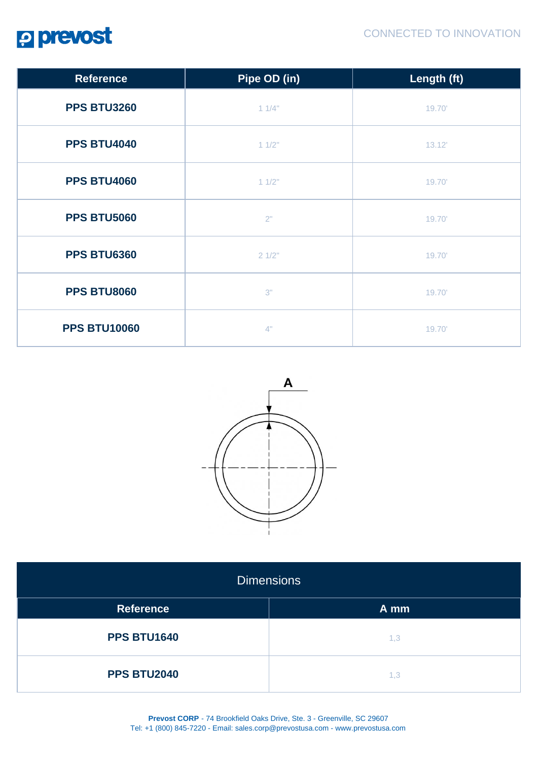

| <b>Reference</b>    | Pipe OD (in) | Length (ft) |
|---------------------|--------------|-------------|
| <b>PPS BTU3260</b>  | 11/4"        | 19.70'      |
| <b>PPS BTU4040</b>  | 11/2"        | 13.12'      |
| <b>PPS BTU4060</b>  | 11/2"        | 19.70'      |
| <b>PPS BTU5060</b>  | 2"           | 19.70'      |
| <b>PPS BTU6360</b>  | 21/2"        | 19.70'      |
| <b>PPS BTU8060</b>  | 3"           | 19.70'      |
| <b>PPS BTU10060</b> | 4"           | 19.70       |



| <b>Dimensions</b>  |      |  |
|--------------------|------|--|
| <b>Reference</b>   | A mm |  |
| <b>PPS BTU1640</b> | 1,3  |  |
| <b>PPS BTU2040</b> | 1,3  |  |

**Prevost CORP** - 74 Brookfield Oaks Drive, Ste. 3 - Greenville, SC 29607 Tel: +1 (800) 845-7220 - Email: sales.corp@prevostusa.com - www.prevostusa.com